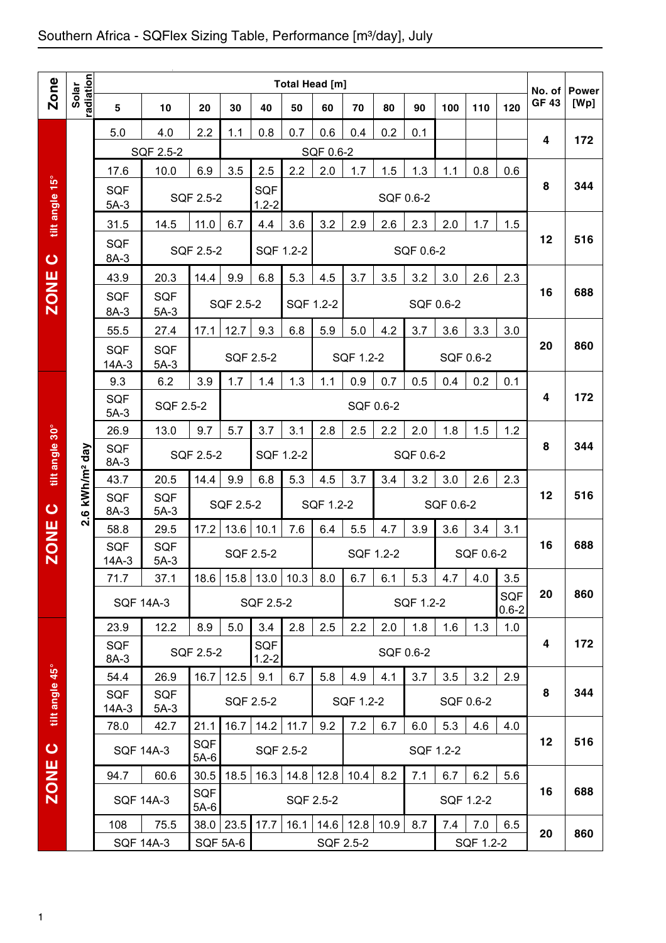## Southern Africa - SQFlex Sizing Table, Performance [m3/day], July

|                |                                              | Total Head [m]        |                      |                      |           |                         |           |           |           |           |           |           |           |                         |                        |                      |
|----------------|----------------------------------------------|-----------------------|----------------------|----------------------|-----------|-------------------------|-----------|-----------|-----------|-----------|-----------|-----------|-----------|-------------------------|------------------------|----------------------|
| <b>Zone</b>    | radiation<br>Solar                           | 5                     | 10                   | 20                   | 30        | 40                      | 50        | 60        | 70        | 80        | 90        | 100       | 110       | 120                     | No. of<br><b>GF 43</b> | <b>Power</b><br>[Wp] |
|                |                                              | 5.0                   | 4.0                  | 2.2                  | 1.1       | 0.8                     | 0.7       | 0.6       | 0.4       | 0.2       | 0.1       |           |           |                         |                        |                      |
|                |                                              |                       | SQF 2.5-2            |                      |           |                         |           | SQF 0.6-2 |           |           |           |           |           |                         | 4                      | 172                  |
|                |                                              | 17.6                  | 10.0                 | 6.9                  | 3.5       | 2.5                     | 2.2       | 2.0       | 1.7       | 1.5       | 1.3       | 1.1       | 0.8       | 0.6                     |                        |                      |
| tilt angle 15° |                                              | <b>SQF</b><br>$5A-3$  |                      | SQF 2.5-2            |           | <b>SQF</b><br>$1.2 - 2$ |           |           |           |           | SQF 0.6-2 |           |           |                         | 8                      | 344                  |
|                |                                              | 31.5                  | 14.5                 | 11.0                 | 6.7       | 4.4                     | 3.6       | 3.2       | 2.9       | 2.6       | 2.3       | 2.0       | 1.7       | 1.5                     |                        |                      |
| $\bullet$      |                                              | <b>SQF</b><br>8A-3    |                      | SQF 2.5-2            |           | SQF 1.2-2               |           |           |           |           | SQF 0.6-2 |           |           |                         | 12                     | 516                  |
|                |                                              | 43.9                  | 20.3                 | 14.4                 | 9.9       | 6.8                     | 5.3       | 4.5       | 3.7       | 3.5       | 3.2       | 3.0       | 2.6       | 2.3                     |                        |                      |
| <b>ZONE</b>    |                                              | <b>SQF</b><br>8A-3    | <b>SQF</b><br>$5A-3$ |                      | SQF 2.5-2 |                         | SQF 1.2-2 |           |           |           |           | SQF 0.6-2 |           |                         | 16                     | 688                  |
|                |                                              | 55.5                  | 27.4                 | 17.1                 | 12.7      | 9.3                     | 6.8       | 5.9       | 5.0       | 4.2       | 3.7       | 3.6       | 3.3       | 3.0                     |                        |                      |
|                |                                              | <b>SQF</b><br>$14A-3$ | <b>SQF</b><br>$5A-3$ |                      | SQF 2.5-2 |                         |           |           | SQF 1.2-2 |           |           |           | SQF 0.6-2 |                         | 20                     | 860                  |
|                |                                              | 9.3                   | 6.2                  | 3.9                  | 1.7       | 1.4                     | 1.3       | 1.1       | 0.9       | 0.7       | 0.5       | 0.4       | 0.2       | 0.1                     |                        |                      |
|                |                                              | <b>SQF</b><br>$5A-3$  | SQF 2.5-2            |                      |           | SQF 0.6-2               |           |           |           |           |           |           | 4         | 172                     |                        |                      |
|                |                                              | 26.9                  | 13.0                 | 9.7                  | 5.7       | 3.7                     | 3.1       | 2.8       | 2.5       | 2.2       | 2.0       | 1.8       | 1.5       | 1.2                     |                        |                      |
| tilt angle 30° | kWh/m <sup>2</sup> day                       | <b>SQF</b><br>8A-3    |                      | SQF 2.5-2            |           | SQF 1.2-2               |           |           |           |           | SQF 0.6-2 |           |           |                         | 8                      | 344                  |
|                |                                              | 43.7                  | 20.5                 | 14.4                 | 9.9       | 6.8                     | 5.3       | 4.5       | 3.7       | 3.4       | 3.2       | 3.0       | 2.6       | 2.3                     |                        |                      |
| $\bullet$      | $\bullet$<br>ςi                              | <b>SQF</b><br>8A-3    | <b>SQF</b><br>$5A-3$ |                      | SQF 2.5-2 |                         |           | SQF 1.2-2 |           |           |           | SQF 0.6-2 |           |                         | 12                     | 516                  |
|                |                                              | 58.8                  | 29.5                 | 17.2                 | 13.6      | 10.1                    | 7.6       | 6.4       | 5.5       | 4.7       | 3.9       | 3.6       | 3.4       | 3.1                     |                        |                      |
| <b>ZONE</b>    |                                              | <b>SQF</b><br>$14A-3$ | <b>SQF</b><br>$5A-3$ |                      |           | SQF 2.5-2               |           |           |           | SQF 1.2-2 |           | SQF 0.6-2 |           | 16                      | 688                    |                      |
|                |                                              | 71.7                  | 37.1                 | 18.6                 |           | $15.8$   13.0   10.3    |           | 8.0       | 6.7       | 6.1       | 5.3       | 4.7       | 4.0       | 3.5                     |                        |                      |
|                |                                              |                       | <b>SQF 14A-3</b>     |                      |           | SQF 2.5-2               |           |           |           |           | SQF 1.2-2 |           |           | <b>SQF</b><br>$0.6 - 2$ | 20                     | 860                  |
|                |                                              | 23.9                  | 12.2                 | 8.9                  | 5.0       | 3.4                     | 2.8       | 2.5       | 2.2       | 2.0       | 1.8       | 1.6       | 1.3       | 1.0                     | 4                      | 172                  |
|                |                                              | <b>SQF</b><br>8A-3    |                      | SQF 2.5-2            |           | <b>SQF</b><br>$1.2 - 2$ |           |           |           |           | SQF 0.6-2 |           |           |                         |                        |                      |
|                |                                              | 54.4                  | 26.9                 | 16.7                 | 12.5      | 9.1                     | 6.7       | 5.8       | 4.9       | 4.1       | 3.7       | 3.5       | 3.2       | 2.9                     |                        |                      |
| tilt angle 45° |                                              | <b>SQF</b><br>$14A-3$ | <b>SQF</b><br>$5A-3$ |                      |           | SQF 2.5-2               |           |           | SQF 1.2-2 |           |           |           | SQF 0.6-2 |                         | 8                      | 344                  |
|                |                                              | 78.0                  | 42.7                 | 21.1                 | 16.7      | 14.2                    | 11.7      | 9.2       | 7.2       | 6.7       | 6.0       | 5.3       | 4.6       | 4.0                     |                        |                      |
| $\bullet$      |                                              |                       | <b>SQF 14A-3</b>     | SQF<br>$5A-6$        |           | SQF 2.5-2               |           |           |           |           |           | SQF 1.2-2 |           |                         | 12                     | 516                  |
| <b>ZONE</b>    | 30.5<br>16.3<br>14.8<br>94.7<br>60.6<br>18.5 |                       |                      |                      |           | 12.8                    | 10.4      | 8.2       | 7.1       | 6.7       | 6.2       | 5.6       |           |                         |                        |                      |
|                |                                              |                       | <b>SQF 14A-3</b>     | <b>SQF</b><br>$5A-6$ |           |                         | SQF 2.5-2 |           |           |           |           |           | SQF 1.2-2 |                         | 16                     | 688                  |
|                |                                              | 108                   | 75.5                 |                      | 38.0 23.5 | 17.7                    | 16.1      | 14.6      | 12.8      | 10.9      | 8.7       | 7.4       | 7.0       | 6.5                     | 20                     | 860                  |
|                |                                              |                       | <b>SQF 14A-3</b>     | <b>SQF 5A-6</b>      |           |                         |           |           | SQF 2.5-2 |           |           |           | SQF 1.2-2 |                         |                        |                      |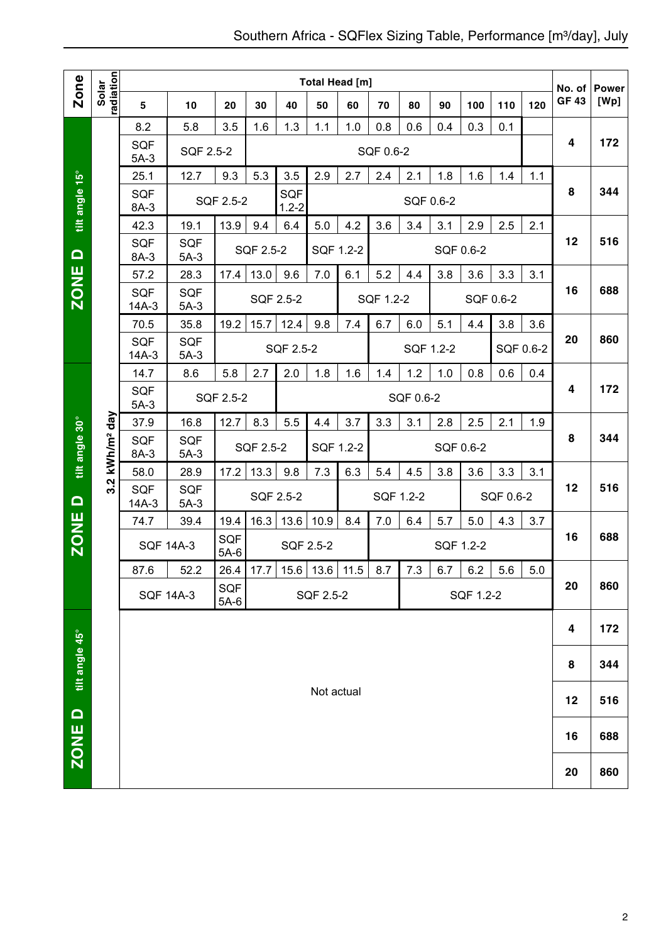|                |                        |                                   |                      |                      |           |                         | Total Head [m]       |     |           |           |           |           |           |           | No. of       | <b>Power</b> |
|----------------|------------------------|-----------------------------------|----------------------|----------------------|-----------|-------------------------|----------------------|-----|-----------|-----------|-----------|-----------|-----------|-----------|--------------|--------------|
| Zone           | radiation<br>Solar     | 5                                 | 10                   | 20                   | 30        | 40                      | 50                   | 60  | 70        | 80        | 90        | 100       | 110       | 120       | <b>GF 43</b> | [Wp]         |
|                |                        | 8.2                               | 5.8                  | 3.5                  | 1.6       | 1.3                     | 1.1                  | 1.0 | 0.8       | 0.6       | 0.4       | 0.3       | 0.1       |           |              |              |
|                |                        | <b>SQF</b><br>$5A-3$              | SQF 2.5-2            |                      |           |                         |                      |     | SQF 0.6-2 |           |           |           |           |           | 4            | 172          |
|                |                        | 25.1                              | 12.7                 | 9.3                  | 5.3       | 3.5                     | 2.9                  | 2.7 | 2.4       | 2.1       | 1.8       | 1.6       | 1.4       | 1.1       |              |              |
| tilt angle 15° |                        | <b>SQF</b><br>8A-3                |                      | SQF 2.5-2            |           | <b>SQF</b><br>$1.2 - 2$ |                      |     |           |           | SQF 0.6-2 |           |           |           | 8            | 344          |
|                |                        | 42.3                              | 19.1                 | 13.9                 | 9.4       | 6.4                     | 5.0                  | 4.2 | 3.6       | 3.4       | 3.1       | 2.9       | 2.5       | 2.1       |              |              |
| $\Box$         |                        | <b>SQF</b><br>8A-3                | <b>SQF</b><br>$5A-3$ |                      | SQF 2.5-2 |                         | SQF 1.2-2            |     |           |           |           | SQF 0.6-2 |           |           | 12           | 516          |
|                |                        | 57.2                              | 28.3                 | 17.4                 | 13.0      | 9.6                     | 7.0                  | 6.1 | 5.2       | 4.4       | 3.8       | 3.6       | 3.3       | 3.1       |              |              |
| <b>ZONE</b>    |                        | <b>SQF</b><br>$14A-3$             | <b>SQF</b><br>$5A-3$ |                      |           | SQF 2.5-2               |                      |     | SQF 1.2-2 |           |           | SQF 0.6-2 |           |           | 16           | 688          |
|                |                        | 70.5                              | 35.8                 | 19.2                 | 15.7      | 12.4                    | 9.8                  | 7.4 | 6.7       | 6.0       | 5.1       | 4.4       | 3.8       | 3.6       |              |              |
|                |                        | <b>SQF</b><br>$14A-3$             | <b>SQF</b><br>$5A-3$ |                      |           | SQF 2.5-2               |                      |     |           |           | SQF 1.2-2 |           |           | SQF 0.6-2 | 20           | 860          |
|                |                        | 14.7                              | 8.6                  | 5.8                  | 2.7       | 2.0                     | 1.8                  | 1.6 | 1.4       | 1.2       | 1.0       | 0.8       | 0.6       | 0.4       |              |              |
|                |                        | <b>SQF</b><br>SQF 2.5-2<br>$5A-3$ |                      |                      |           |                         |                      |     |           | SQF 0.6-2 |           |           |           |           | 4            | 172          |
|                |                        | 8.3<br>37.9<br>16.8<br>12.7       |                      |                      |           | 5.5                     | 4.4                  | 3.7 | 3.3       | 3.1       | 2.8       | 2.5       | 2.1       | 1.9       |              |              |
| tilt angle 30° | kWh/m <sup>2</sup> day | <b>SQF</b><br>8A-3                | <b>SQF</b><br>$5A-3$ |                      | SQF 2.5-2 |                         | SQF 1.2-2            |     |           |           |           | SQF 0.6-2 |           |           | 8            | 344          |
|                |                        | 58.0                              | 28.9                 | 17.2                 | 13.3      | 9.8                     | 7.3                  | 6.3 | 5.4       | 4.5       | 3.8       | 3.6       | 3.3       | 3.1       |              |              |
| $\Omega$       | 3.2                    | <b>SQF</b><br>$14A-3$             | SQF<br>$5A-3$        |                      |           | SQF 2.5-2               |                      |     |           | SQF 1.2-2 |           |           | SQF 0.6-2 |           | 12           | 516          |
|                |                        | 74.7                              | 39.4                 | 19.4                 | 16.3      | 13.6                    | 10.9                 | 8.4 | 7.0       | 6.4       | 5.7       | 5.0       | 4.3       | 3.7       |              |              |
| <b>ZONE</b>    |                        |                                   | <b>SQF 14A-3</b>     | <b>SQF</b><br>$5A-6$ |           | SQF 2.5-2               |                      |     |           |           |           | SQF 1.2-2 |           |           | 16           | 688          |
|                |                        | 87.6                              | 52.2                 | 26.4                 | 17.7      |                         | $15.6$   13.6   11.5 |     | 8.7       | 7.3       | 6.7       | 6.2       | 5.6       | 5.0       |              |              |
|                |                        |                                   | <b>SQF 14A-3</b>     | SQF<br>$5A-6$        |           |                         | SQF 2.5-2            |     |           |           |           | SQF 1.2-2 |           |           | 20           | 860          |
|                |                        |                                   |                      |                      |           |                         |                      |     |           |           |           |           |           |           | 4            | 172          |
| tilt angle 45° |                        |                                   |                      |                      |           |                         |                      |     |           |           |           |           |           |           | 8            | 344          |
|                |                        |                                   |                      |                      |           |                         | Not actual           |     |           |           |           |           |           |           | 12           | 516          |
| ZONE D         |                        |                                   |                      |                      |           |                         |                      |     |           |           |           |           |           |           | 16           | 688          |
|                |                        |                                   |                      |                      |           |                         |                      |     |           |           |           |           |           |           | 20           | 860          |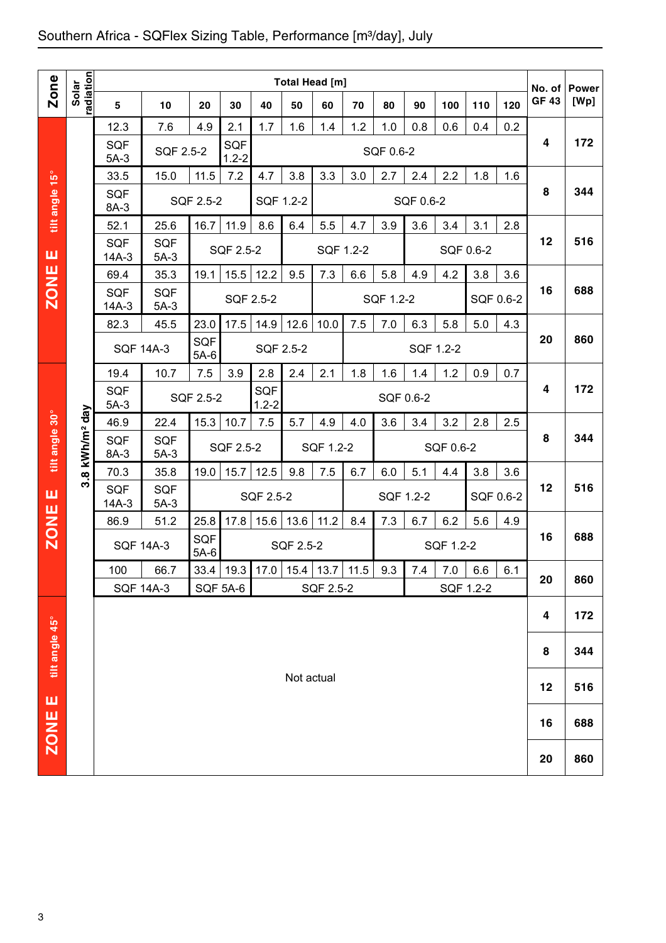## Southern Africa - SQFlex Sizing Table, Performance [m<sup>3</sup>/day], July

|                |                          |                       |                      |                 |                         |                    | <b>Total Head [m]</b> |                  |     |           |           |           |            |           |                        |                      |
|----------------|--------------------------|-----------------------|----------------------|-----------------|-------------------------|--------------------|-----------------------|------------------|-----|-----------|-----------|-----------|------------|-----------|------------------------|----------------------|
| <b>Zone</b>    | adiation<br>Solar        | 5                     | 10                   | 20              | 30                      | 40                 | 50                    | 60               | 70  | 80        | 90        | 100       | 110        | 120       | No. of<br><b>GF 43</b> | <b>Power</b><br>[Wp] |
|                |                          | 12.3                  | 7.6                  | 4.9             | 2.1                     | 1.7                | 1.6                   | 1.4              | 1.2 | 1.0       | 0.8       | 0.6       | 0.4        | 0.2       |                        |                      |
|                |                          | <b>SQF</b><br>$5A-3$  | SQF 2.5-2            |                 | <b>SQF</b><br>$1.2 - 2$ |                    |                       |                  |     | SQF 0.6-2 |           |           |            |           | 4                      | 172                  |
|                |                          | 33.5                  | 15.0                 | 11.5            | 7.2                     | 4.7                | 3.8                   | 3.3              | 3.0 | 2.7       | 2.4       | 2.2       | 1.8        | 1.6       |                        |                      |
| tilt angle 15° |                          | <b>SQF</b><br>8A-3    |                      | SQF 2.5-2       |                         | SQF 1.2-2          |                       |                  |     |           | SQF 0.6-2 |           |            |           | 8                      | 344                  |
|                |                          | 52.1                  | 25.6                 | 16.7            | 11.9                    | 8.6                | 6.4                   | 5.5              | 4.7 | 3.9       | 3.6       | 3.4       | 3.1        | 2.8       |                        |                      |
| ш              |                          | <b>SQF</b><br>$14A-3$ | <b>SQF</b><br>$5A-3$ |                 | <b>SQF 2.5-2</b>        |                    |                       | SQF 1.2-2        |     |           |           | SQF 0.6-2 |            |           | 12                     | 516                  |
|                |                          | 69.4                  | 35.3                 | 19.1            | 15.5                    | 12.2               | 9.5                   | 7.3              | 6.6 | 5.8       | 4.9       | 4.2       | 3.8        | 3.6       |                        |                      |
| ZONE           |                          | <b>SQF</b><br>$14A-3$ | <b>SQF</b><br>$5A-3$ |                 |                         | SQF 2.5-2          |                       |                  |     | SQF 1.2-2 |           |           |            | SQF 0.6-2 | 16                     | 688                  |
|                |                          | 82.3                  | 45.5                 | 23.0            | 17.5                    | 14.9               | 12.6                  | 10.0             | 7.5 | 7.0       | 6.3       | 5.8       | 5.0        | 4.3       |                        |                      |
|                |                          | <b>SQF 14A-3</b>      |                      | SQF<br>$5A-6$   |                         | SQF 2.5-2          |                       |                  |     |           | SQF 1.2-2 |           |            |           | 20                     | 860                  |
|                |                          | 19.4                  | 10.7                 | 7.5             | 3.9                     | 2.8                | 2.4                   | 2.1              | 1.8 | 1.6       | 1.4       | 1.2       | 0.9<br>0.7 |           |                        |                      |
|                |                          | <b>SQF</b><br>$5A-3$  |                      | SQF 2.5-2       |                         | SQF<br>$1.2 - 2$   | SQF 0.6-2             |                  |     |           |           |           |            |           | 4                      | 172                  |
|                |                          | 46.9                  | 22.4                 | 15.3            | 10.7                    | 7.5                | 5.7                   | 4.9              | 4.0 | 3.6       | 3.4       | 3.2       | 2.8        | 2.5       |                        |                      |
| tilt angle 30° | 8 kWh/m <sup>2</sup> day | <b>SQF</b><br>8A-3    | <b>SQF</b><br>$5A-3$ |                 | SQF 2.5-2               |                    |                       | SQF 1.2-2        |     |           |           | SQF 0.6-2 |            |           | 8                      | 344                  |
|                | က                        | 70.3                  | 35.8                 | 19.0            | 15.7                    | 12.5               | 9.8                   | 7.5              | 6.7 | 6.0       | 5.1       | 4.4       | 3.8        | 3.6       |                        |                      |
| ш              |                          | <b>SQF</b><br>$14A-3$ | <b>SQF</b><br>$5A-3$ |                 |                         | SQF 2.5-2          |                       |                  |     | SQF 1.2-2 |           |           |            | SQF 0.6-2 | 12                     | 516                  |
| <b>ZONE</b>    |                          | 86.9                  | 51.2                 | 25.8            | 17.8                    | 15.6               | 13.6                  | 11.2             | 8.4 | 7.3       | 6.7       | 6.2       | 5.6        | 4.9       |                        |                      |
|                |                          | <b>SQF 14A-3</b>      |                      | SQF<br>$5A-6$   |                         |                    | <b>SQF 2.5-2</b>      |                  |     |           |           | SQF 1.2-2 |            |           | 16                     | 688                  |
|                |                          | 100                   | 66.7                 |                 |                         | 33.4   19.3   17.0 |                       | $15.4$ 13.7 11.5 |     | 9.3       | 7.4       | 7.0       | 6.6        | 6.1       | 20                     | 860                  |
|                |                          | <b>SQF 14A-3</b>      |                      | <b>SQF 5A-6</b> |                         |                    |                       | SQF 2.5-2        |     |           |           |           | SQF 1.2-2  |           |                        |                      |
|                |                          |                       |                      |                 |                         |                    |                       |                  |     |           |           |           |            |           | 4                      | 172                  |
| tilt angle 45° |                          |                       |                      |                 |                         |                    |                       |                  |     |           |           |           |            |           | 8                      | 344                  |
| ш              |                          |                       |                      |                 |                         |                    | Not actual            |                  |     |           |           |           |            |           | 12                     | 516                  |
| ZONE           |                          |                       |                      |                 |                         |                    |                       |                  |     |           |           |           |            |           | 16                     | 688                  |
|                |                          |                       |                      |                 |                         |                    |                       |                  |     |           |           |           |            |           | 20                     | 860                  |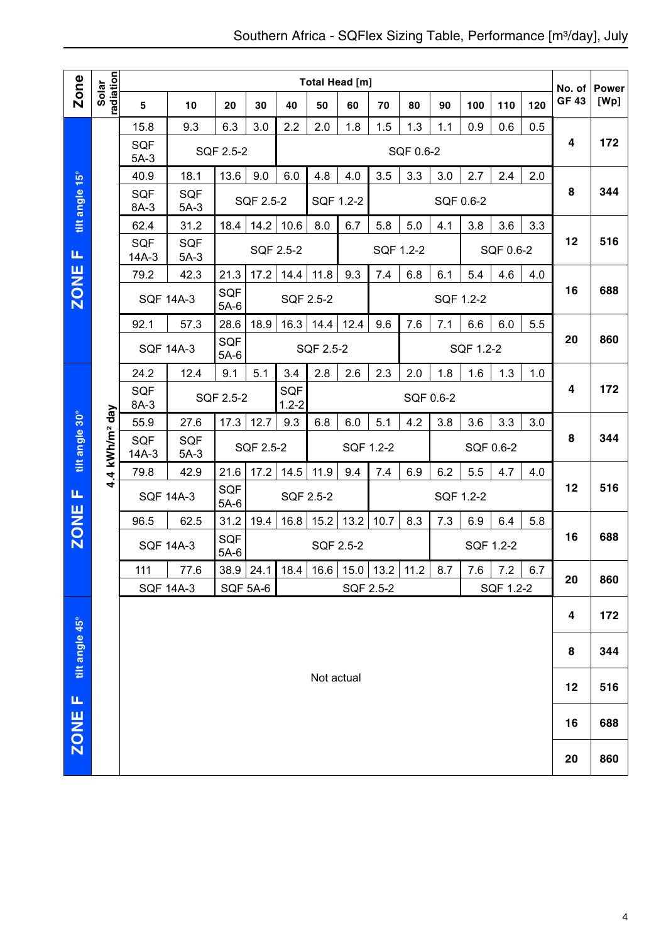|                  |                            |                       |                      |                      |                 |                        | Total Head [m]         |           |               |           |           |           |           |     | No. of       | <b>Power</b> |  |  |
|------------------|----------------------------|-----------------------|----------------------|----------------------|-----------------|------------------------|------------------------|-----------|---------------|-----------|-----------|-----------|-----------|-----|--------------|--------------|--|--|
| <b>Zone</b>      | radiation<br>Solar         | 5                     | 10                   | 20                   | 30              | 40                     | 50                     | 60        | 70            | 80        | 90        | 100       | 110       | 120 | <b>GF 43</b> | [Wp]         |  |  |
|                  |                            | 15.8                  | 9.3                  | 6.3                  | 3.0             | 2.2                    | 2.0                    | 1.8       | 1.5           | 1.3       | 1.1       | 0.9       | 0.6       | 0.5 |              |              |  |  |
|                  |                            | <b>SQF</b><br>$5A-3$  |                      | SQF 2.5-2            |                 |                        |                        |           |               | SQF 0.6-2 |           |           |           |     | 4            | 172          |  |  |
|                  |                            | 40.9                  | 18.1                 | 13.6                 | 9.0             | 6.0                    | 4.8                    | 4.0       | 3.5           | 3.3       | 3.0       | 2.7       | 2.4       | 2.0 |              |              |  |  |
| tilt angle 15°   |                            | <b>SQF</b><br>8A-3    | <b>SQF</b><br>$5A-3$ |                      | SQF 2.5-2       |                        | SQF 1.2-2              |           |               |           |           | SQF 0.6-2 |           |     | 8            | 344          |  |  |
|                  |                            | 62.4                  | 31.2                 | 18.4                 | 14.2            | 10.6                   | 8.0                    | 6.7       | 5.8           | 5.0       | 4.1       | 3.8       | 3.6       | 3.3 |              |              |  |  |
| Щ                |                            | <b>SQF</b><br>$14A-3$ | <b>SQF</b><br>$5A-3$ |                      | SQF 2.5-2       |                        |                        |           | SQF 1.2-2     |           |           |           | SQF 0.6-2 |     | 12           | 516          |  |  |
|                  |                            | 79.2                  | 42.3                 | 21.3                 | 17.2            | 14.4                   | 11.8                   | 9.3       | 7.4           | 6.8       | 6.1       | 5.4       | 4.6       | 4.0 |              |              |  |  |
| <b>ZONE</b>      |                            |                       | <b>SQF 14A-3</b>     | SQF<br>$5A-6$        |                 |                        | SQF 2.5-2<br>SQF 1.2-2 |           |               |           |           |           |           | 16  | 688          |              |  |  |
|                  |                            | 92.1                  | 57.3                 | 28.6                 | 18.9            | 16.3                   | 14.4                   | 12.4      | 9.6           | 7.6       | 7.1       | 6.6       | 6.0       | 5.5 |              |              |  |  |
|                  |                            |                       | <b>SQF 14A-3</b>     | <b>SQF</b><br>$5A-6$ |                 | SQF 2.5-2<br>SQF 1.2-2 |                        |           |               |           |           |           | 20        | 860 |              |              |  |  |
|                  |                            | 24.2                  | 12.4                 | 9.1                  | 5.1             | 3.4                    | 2.8                    | 2.6       | 2.3           | 2.0       | 1.8       | 1.6       | 1.3       | 1.0 |              |              |  |  |
|                  |                            | <b>SQF</b><br>8A-3    |                      | SQF 2.5-2            |                 | SQF<br>$1.2 - 2$       |                        | SQF 0.6-2 |               |           |           |           |           |     | 4            | 172          |  |  |
|                  |                            | 55.9                  | 12.7                 | 9.3                  | 6.8             | 6.0                    | 5.1                    | 4.2       | 3.8           | 3.6       | 3.3       | 3.0       |           |     |              |              |  |  |
| tilt angle 30°   | 4.4 kWh/m <sup>2</sup> day | <b>SQF</b><br>$14A-3$ | SQF 2.5-2            |                      |                 |                        | SQF 1.2-2              |           |               |           | SQF 0.6-2 |           | 8         | 344 |              |              |  |  |
|                  |                            | 79.8                  | 42.9                 | 21.6                 | 17.2            | 14.5                   | 11.9                   | 9.4       | 7.4           | 6.9       | 6.2       | 5.5       | 4.7       | 4.0 | 12           |              |  |  |
| Щ                |                            | <b>SQF 14A-3</b>      |                      | <b>SQF</b><br>$5A-6$ |                 | SQF 2.5-2              |                        |           |               |           | SQF 1.2-2 |           |           |     |              | 516          |  |  |
| <b>ZONE</b>      |                            | 96.5                  | 62.5                 | 31.2                 | 19.4            | 16.8                   | 15.2                   | 13.2      | 10.7          | 8.3       | 7.3       | 6.9       | 6.4       | 5.8 |              |              |  |  |
|                  |                            |                       | <b>SQF 14A-3</b>     | SQF<br>$5A-6$        |                 |                        |                        | SQF 2.5-2 |               |           |           |           | SQF 1.2-2 |     | 16           | 688          |  |  |
|                  |                            | 111                   | 77.6                 | $38.9$   24.1        |                 |                        | $18.4$   16.6          |           | $15.0$   13.2 | 11.2      | 8.7       | 7.6       | 7.2       | 6.7 | 20           | 860          |  |  |
|                  |                            |                       | <b>SQF 14A-3</b>     |                      | <b>SQF 5A-6</b> |                        |                        |           | SQF 2.5-2     |           |           |           | SQF 1.2-2 |     |              |              |  |  |
|                  |                            |                       |                      |                      |                 |                        |                        |           |               |           |           |           |           |     | 4            | 172          |  |  |
| tilt angle 45°   |                            |                       |                      |                      |                 |                        |                        |           |               |           |           |           |           |     | 8            | 344          |  |  |
|                  |                            |                       |                      |                      |                 |                        | Not actual             |           |               |           |           |           |           |     | 12           | 516          |  |  |
| щ<br><b>ZONE</b> |                            |                       |                      |                      |                 |                        |                        |           |               |           |           |           |           |     | 16           | 688          |  |  |
|                  |                            |                       |                      |                      |                 |                        |                        |           |               |           |           |           | 20        | 860 |              |              |  |  |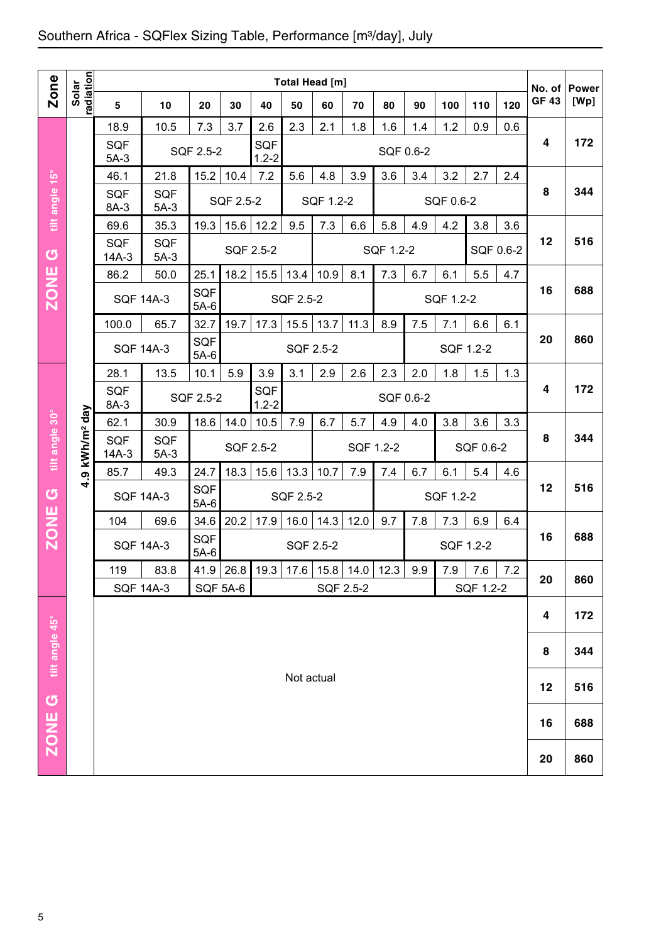## Southern Africa - SQFlex Sizing Table, Performance [m<sup>3</sup>/day], July

|                |                        |                       | Total Head [m]       |                      |           |                         |                     |                  |             |           |     |                   |           |     |                       |                      |
|----------------|------------------------|-----------------------|----------------------|----------------------|-----------|-------------------------|---------------------|------------------|-------------|-----------|-----|-------------------|-----------|-----|-----------------------|----------------------|
| <b>Zone</b>    | radiation<br>Solar     | $5\phantom{.0}$       | 10                   | 20                   | 30        | 40                      | 50                  | 60               | 70          | 80        | 90  | 100               | 110       | 120 | No. of<br><b>GF43</b> | <b>Power</b><br>[Wp] |
|                |                        | 18.9                  | 10.5                 | 7.3                  | 3.7       | 2.6                     | 2.3                 | 2.1              | 1.8         | 1.6       | 1.4 | 1.2               | 0.9       | 0.6 |                       |                      |
|                |                        | SQF<br>$5A-3$         |                      | SQF 2.5-2            |           | <b>SQF</b><br>$1.2 - 2$ |                     |                  |             | SQF 0.6-2 |     |                   |           |     | 4                     | 172                  |
|                |                        | 46.1                  | 21.8                 | 15.2                 | 10.4      | 7.2                     | 5.6                 | 4.8              | 3.9         | 3.6       | 3.4 | 3.2               | 2.7       | 2.4 |                       |                      |
| tilt angle 15° |                        | SQF<br>8A-3           | <b>SQF</b><br>$5A-3$ |                      | SQF 2.5-2 |                         |                     | SQF 1.2-2        |             |           |     | SQF 0.6-2         |           |     | 8                     | 344                  |
|                |                        | 69.6                  | 35.3                 | 19.3                 | 15.6      | 12.2                    | 9.5                 | 7.3              | 6.6         | 5.8       | 4.9 | 4.2               | 3.8       | 3.6 |                       |                      |
| $\sigma$       |                        | SQF<br>$14A-3$        | <b>SQF</b><br>$5A-3$ |                      | SQF 2.5-2 |                         |                     |                  |             | SQF 1.2-2 |     |                   | SQF 0.6-2 |     | 12                    | 516                  |
|                |                        | 86.2                  | 50.0                 | 25.1                 | 18.2      | 15.5                    | 13.4                | 10.9             | 8.1         | 7.3       | 6.7 | 6.1               | 5.5       | 4.7 |                       |                      |
| <b>ZONE</b>    |                        | <b>SQF 14A-3</b>      |                      | <b>SQF</b><br>$5A-6$ |           |                         | SQF 2.5-2           | SQF 1.2-2        |             |           |     |                   |           |     | 16                    | 688                  |
|                |                        | 100.0                 | 65.7                 | 32.7                 | 19.7      | 17.3                    | 15.5                | 13.7             | 11.3        | 8.9       | 7.5 | 6.6<br>6.1<br>7.1 |           |     |                       |                      |
|                |                        | <b>SQF 14A-3</b>      |                      | SQF<br>$5A-6$        |           |                         | SQF 2.5-2           |                  |             |           |     |                   | SQF 1.2-2 |     | 20                    | 860                  |
|                |                        | 28.1                  | 13.5                 | 10.1                 | 5.9       | 3.9                     | 3.1                 | 2.9              | 2.6         | 2.3       | 2.0 | 1.8               | 1.5       | 1.3 |                       |                      |
| tilt angle 30° |                        | SQF<br>8A-3           |                      | SQF 2.5-2            |           | <b>SQF</b><br>$1.2 - 2$ | SQF 0.6-2           |                  |             |           |     |                   |           |     | 4                     | 172                  |
|                |                        | 62.1                  | 30.9                 | 18.6                 | 14.0      | 10.5                    | 7.9                 | 6.7              | 5.7         | 4.9       | 4.0 | 3.8               | 3.6       | 3.3 |                       |                      |
|                | kWh/m <sup>2</sup> day | <b>SQF</b><br>$14A-3$ | <b>SQF</b><br>$5A-3$ |                      | SQF 2.5-2 |                         |                     |                  | SQF 1.2-2   |           |     |                   | SQF 0.6-2 |     | 8                     | 344                  |
|                | თ                      | 85.7                  | 49.3                 | 24.7                 | 18.3      | 15.6                    | 13.3<br>7.9<br>10.7 |                  |             | 7.4       | 6.7 | 6.1               | 5.4       | 4.6 |                       |                      |
| U              | Ч                      | <b>SQF 14A-3</b>      |                      | SQF<br>$5A-6$        |           |                         |                     | <b>SQF 2.5-2</b> |             |           |     | SQF 1.2-2         |           |     | 12                    | 516                  |
|                |                        | 104                   | 69.6                 | 34.6                 | 20.2      | 17.9                    | 16.0                | 14.3             | 12.0        | 9.7       | 7.8 | 7.3               | 6.9       | 6.4 |                       |                      |
| <b>ZONE</b>    |                        | <b>SQF 14A-3</b>      |                      | SQF<br>$5A-6$        |           |                         | SQF 2.5-2           |                  |             |           |     | SQF 1.2-2         |           |     | 16                    | 688                  |
|                |                        | 119                   | 83.8                 |                      | 41.9 26.8 | 19.3                    | 17.6                |                  | $15.8$ 14.0 | 12.3      | 9.9 | 7.9               | 7.6       | 7.2 | 20                    | 860                  |
|                |                        | <b>SQF 14A-3</b>      |                      | <b>SQF 5A-6</b>      |           |                         |                     |                  | SQF 2.5-2   |           |     |                   | SQF 1.2-2 |     |                       |                      |
|                |                        |                       |                      |                      |           |                         |                     |                  |             |           |     |                   |           |     | 4                     | 172                  |
| tilt angle 45° |                        |                       |                      |                      |           |                         |                     |                  |             |           |     |                   |           |     | 8                     | 344                  |
|                |                        |                       |                      |                      |           |                         | Not actual          |                  |             |           |     |                   |           |     | 12                    | 516                  |
| U              |                        |                       |                      |                      |           |                         |                     |                  |             |           |     |                   |           |     | 16                    | 688                  |
| <b>ZONE</b>    |                        |                       |                      |                      |           |                         |                     |                  |             |           |     |                   |           | 20  | 860                   |                      |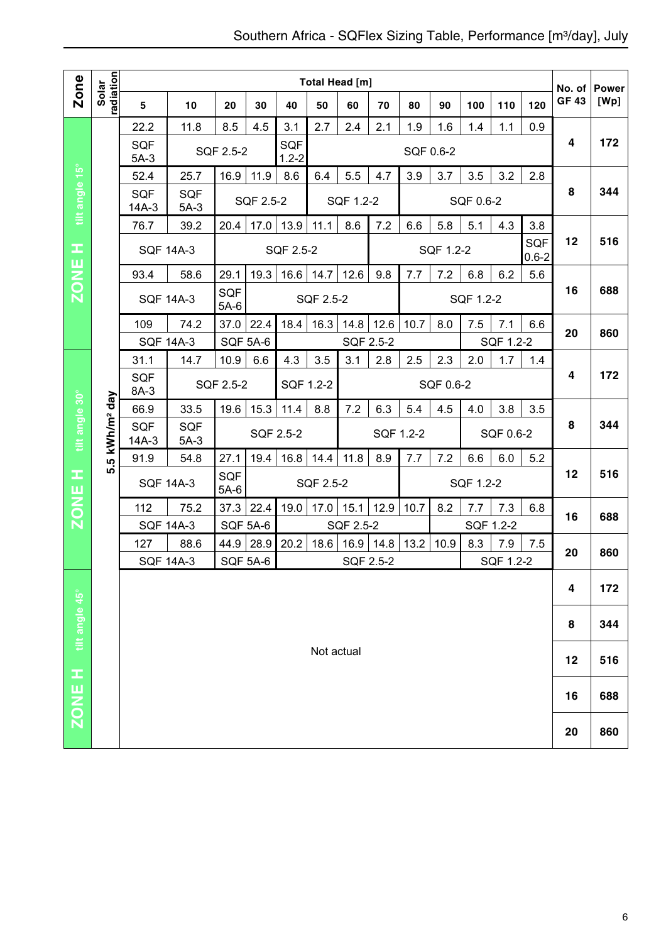|                                               |                            | Total Head [m]        |                      |                 |           |                  |                        |           |           |           |           |           |           |                         | No. of       | <b>Power</b> |
|-----------------------------------------------|----------------------------|-----------------------|----------------------|-----------------|-----------|------------------|------------------------|-----------|-----------|-----------|-----------|-----------|-----------|-------------------------|--------------|--------------|
| Zone                                          | radiation<br>Solar         | 5                     | 10                   | 20              | 30        | 40               | 50                     | 60        | 70        | 80        | 90        | 100       | 110       | 120                     | <b>GF 43</b> | [Wp]         |
|                                               |                            | 22.2                  | 11.8                 | 8.5             | 4.5       | 3.1              | 2.7                    | 2.4       | 2.1       | 1.9       | 1.6       | 1.4       | 1.1       | 0.9                     |              |              |
|                                               |                            | <b>SQF</b><br>$5A-3$  |                      | SQF 2.5-2       |           | SQF<br>$1.2 - 2$ |                        |           |           | SQF 0.6-2 |           |           |           |                         | 4            | 172          |
|                                               |                            | 52.4                  | 25.7                 | 16.9            | 11.9      | 8.6              | 6.4                    | 5.5       | 4.7       | 3.9       | 3.7       | 3.5       | 3.2       | 2.8                     |              |              |
| tilt angle 15°                                |                            | <b>SQF</b><br>$14A-3$ | <b>SQF</b><br>$5A-3$ |                 | SQF 2.5-2 |                  |                        | SQF 1.2-2 |           |           |           | SQF 0.6-2 |           |                         | 8            | 344          |
|                                               |                            | 76.7                  | 39.2                 | 20.4            | 17.0      | 13.9             | 11.1                   | 8.6       | 7.2       | 6.6       | 5.8       | 5.1       | 4.3       | 3.8                     |              |              |
| H                                             |                            | <b>SQF 14A-3</b>      |                      |                 |           | SQF 2.5-2        |                        |           |           |           | SQF 1.2-2 |           |           | <b>SQF</b><br>$0.6 - 2$ | 12           | 516          |
|                                               |                            | 93.4                  | 58.6                 | 29.1            | 19.3      | 16.6             | 14.7                   | 12.6      | 9.8       | 7.7       | 7.2       | 6.8       | 6.2       | 5.6                     |              |              |
| <b>ZONE</b>                                   |                            |                       | <b>SQF 14A-3</b>     | SQF<br>$5A-6$   |           |                  | SQF 2.5-2              |           |           |           |           | SQF 1.2-2 |           |                         | 16           | 688          |
|                                               |                            | 109                   | 74.2                 | 37.0            | 22.4      | 18.4             | 16.3                   | 14.8      | 12.6      | 10.7      | 8.0       | 7.5       | 7.1       | 6.6                     | 20           | 860          |
|                                               |                            | <b>SQF 14A-3</b>      |                      | <b>SQF 5A-6</b> |           |                  |                        | SQF 2.5-2 |           |           |           |           | SQF 1.2-2 |                         |              |              |
|                                               |                            | 31.1                  | 14.7                 | 10.9            | 6.6       | 4.3              | 3.5                    | 3.1       | 2.8       | 2.5       | 2.3       | 2.0       | 1.7       | 1.4                     |              |              |
|                                               |                            | <b>SQF</b><br>8A-3    |                      | SQF 2.5-2       |           |                  | SQF 0.6-2<br>SQF 1.2-2 |           |           |           |           |           |           |                         | 4            | 172          |
|                                               |                            | 66.9                  | 33.5                 | 19.6            | 15.3      | 11.4             | 8.8                    | 7.2       | 6.3       | 5.4       | 4.5       | 4.0       | 3.8       | 3.5                     |              |              |
| tilt angle 30°                                | 5.5 kWh/m <sup>2</sup> day | SQF<br>$14A-3$        | SQF<br>$5A-3$        |                 |           | SQF 2.5-2        |                        |           | SQF 1.2-2 |           |           |           | SQF 0.6-2 |                         | 8            | 344          |
|                                               |                            | 91.9                  | 54.8                 | 27.1            | 19.4      | 16.8             | 14.4                   | 11.8      | 8.9       | 7.7       | 7.2       | 6.6       | 6.0       | 5.2                     |              |              |
| œ                                             |                            | <b>SQF 14A-3</b>      |                      | SQF<br>$5A-6$   |           |                  | SQF 2.5-2              |           |           |           |           | SQF 1.2-2 |           |                         | 12           | 516          |
| <b>ZONE</b>                                   |                            | 112                   | 75.2                 | 37.3            | 22.4      | 19.0             | 17.0                   | 15.1      | 12.9      | 10.7      | 8.2       | 7.7       | 7.3       | 6.8                     | 16           | 688          |
|                                               |                            | <b>SQF 14A-3</b>      |                      | <b>SQF 5A-6</b> |           |                  |                        | SQF 2.5-2 |           |           |           |           | SQF 1.2-2 |                         |              |              |
|                                               |                            | 127                   | 88.6                 | 44.9            | 28.9      | 20.2             | 18.6                   | 16.9      | 14.8      | 13.2      | 10.9      | 8.3       | 7.9       | 7.5                     | 20           | 860          |
|                                               |                            | <b>SQF 14A-3</b>      |                      | <b>SQF 5A-6</b> |           |                  |                        | SQF 2.5-2 |           |           |           |           | SQF 1.2-2 |                         |              |              |
|                                               |                            |                       |                      |                 |           |                  |                        |           |           |           |           |           |           |                         | 4            | 172          |
|                                               |                            |                       |                      |                 |           |                  |                        |           |           |           |           |           |           |                         | 8            | 344          |
| $\overline{{\sf ZONE}}$ H $\;$ tilt angle 45° |                            |                       |                      |                 |           |                  | Not actual             |           |           |           |           |           |           |                         | 12           | 516          |
|                                               |                            |                       |                      |                 |           |                  |                        |           |           |           |           |           |           |                         |              |              |
|                                               |                            |                       |                      |                 |           |                  |                        |           |           |           |           |           |           |                         | 16           | 688          |
|                                               |                            |                       |                      |                 |           |                  |                        |           |           |           |           |           |           |                         | 20           | 860          |